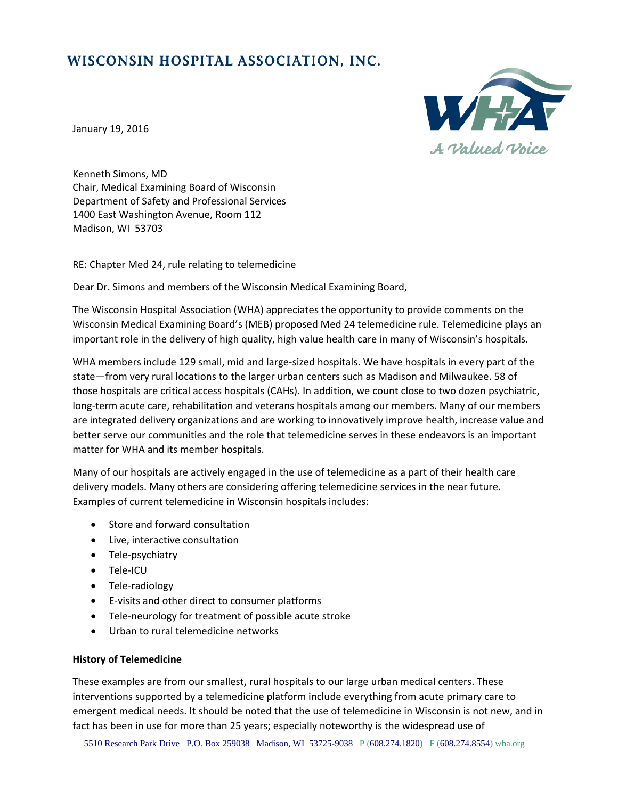# WISCONSIN HOSPITAL ASSOCIATION, INC.



January 19, 2016

Kenneth Simons, MD Chair, Medical Examining Board of Wisconsin Department of Safety and Professional Services 1400 East Washington Avenue, Room 112 Madison, WI 53703

RE: Chapter Med 24, rule relating to telemedicine

Dear Dr. Simons and members of the Wisconsin Medical Examining Board,

The Wisconsin Hospital Association (WHA) appreciates the opportunity to provide comments on the Wisconsin Medical Examining Board's (MEB) proposed Med 24 telemedicine rule. Telemedicine plays an important role in the delivery of high quality, high value health care in many of Wisconsin's hospitals.

WHA members include 129 small, mid and large-sized hospitals. We have hospitals in every part of the state—from very rural locations to the larger urban centers such as Madison and Milwaukee. 58 of those hospitals are critical access hospitals (CAHs). In addition, we count close to two dozen psychiatric, long-term acute care, rehabilitation and veterans hospitals among our members. Many of our members are integrated delivery organizations and are working to innovatively improve health, increase value and better serve our communities and the role that telemedicine serves in these endeavors is an important matter for WHA and its member hospitals.

Many of our hospitals are actively engaged in the use of telemedicine as a part of their health care delivery models. Many others are considering offering telemedicine services in the near future. Examples of current telemedicine in Wisconsin hospitals includes:

- Store and forward consultation
- Live, interactive consultation
- Tele-psychiatry
- Tele-ICU
- Tele-radiology
- E-visits and other direct to consumer platforms
- Tele-neurology for treatment of possible acute stroke
- Urban to rural telemedicine networks

## **History of Telemedicine**

These examples are from our smallest, rural hospitals to our large urban medical centers. These interventions supported by a telemedicine platform include everything from acute primary care to emergent medical needs. It should be noted that the use of telemedicine in Wisconsin is not new, and in fact has been in use for more than 25 years; especially noteworthy is the widespread use of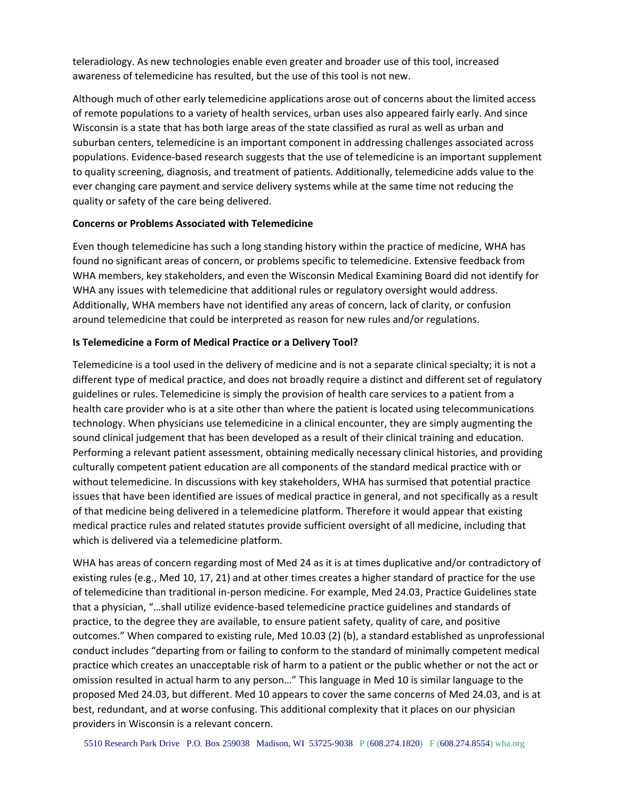teleradiology. As new technologies enable even greater and broader use of this tool, increased awareness of telemedicine has resulted, but the use of this tool is not new.

Although much of other early telemedicine applications arose out of concerns about the limited access of remote populations to a variety of health services, urban uses also appeared fairly early. And since Wisconsin is a state that has both large areas of the state classified as rural as well as urban and suburban centers, telemedicine is an important component in addressing challenges associated across populations. Evidence‐based research suggests that the use of telemedicine is an important supplement to quality screening, diagnosis, and treatment of patients. Additionally, telemedicine adds value to the ever changing care payment and service delivery systems while at the same time not reducing the quality or safety of the care being delivered.

#### **Concerns or Problems Associated with Telemedicine**

Even though telemedicine has such a long standing history within the practice of medicine, WHA has found no significant areas of concern, or problems specific to telemedicine. Extensive feedback from WHA members, key stakeholders, and even the Wisconsin Medical Examining Board did not identify for WHA any issues with telemedicine that additional rules or regulatory oversight would address. Additionally, WHA members have not identified any areas of concern, lack of clarity, or confusion around telemedicine that could be interpreted as reason for new rules and/or regulations.

## **Is Telemedicine a Form of Medical Practice or a Delivery Tool?**

Telemedicine is a tool used in the delivery of medicine and is not a separate clinical specialty; it is not a different type of medical practice, and does not broadly require a distinct and different set of regulatory guidelines or rules. Telemedicine is simply the provision of health care services to a patient from a health care provider who is at a site other than where the patient is located using telecommunications technology. When physicians use telemedicine in a clinical encounter, they are simply augmenting the sound clinical judgement that has been developed as a result of their clinical training and education. Performing a relevant patient assessment, obtaining medically necessary clinical histories, and providing culturally competent patient education are all components of the standard medical practice with or without telemedicine. In discussions with key stakeholders, WHA has surmised that potential practice issues that have been identified are issues of medical practice in general, and not specifically as a result of that medicine being delivered in a telemedicine platform. Therefore it would appear that existing medical practice rules and related statutes provide sufficient oversight of all medicine, including that which is delivered via a telemedicine platform.

WHA has areas of concern regarding most of Med 24 as it is at times duplicative and/or contradictory of existing rules (e.g., Med 10, 17, 21) and at other times creates a higher standard of practice for the use of telemedicine than traditional in‐person medicine. For example, Med 24.03, Practice Guidelines state that a physician, "…shall utilize evidence‐based telemedicine practice guidelines and standards of practice, to the degree they are available, to ensure patient safety, quality of care, and positive outcomes." When compared to existing rule, Med 10.03 (2) (b), a standard established as unprofessional conduct includes "departing from or failing to conform to the standard of minimally competent medical practice which creates an unacceptable risk of harm to a patient or the public whether or not the act or omission resulted in actual harm to any person…" This language in Med 10 is similar language to the proposed Med 24.03, but different. Med 10 appears to cover the same concerns of Med 24.03, and is at best, redundant, and at worse confusing. This additional complexity that it places on our physician providers in Wisconsin is a relevant concern.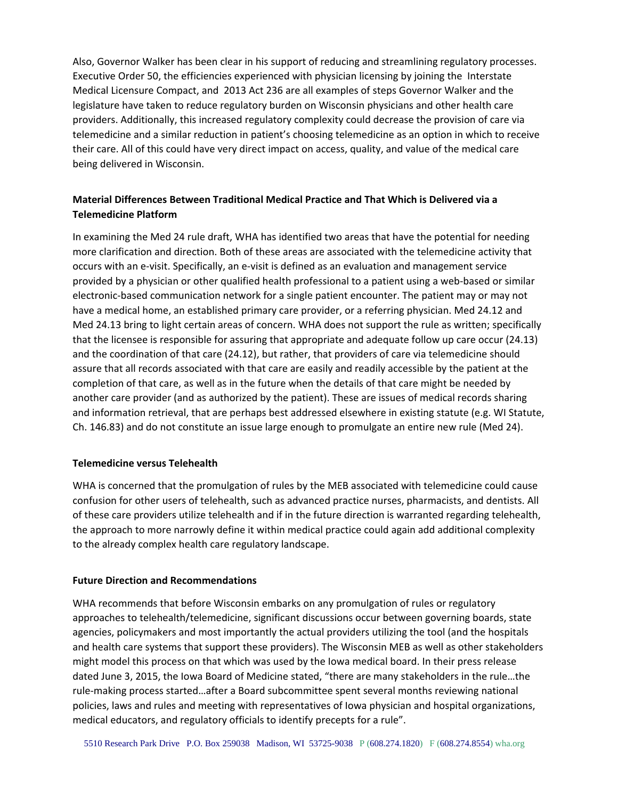Also, Governor Walker has been clear in his support of reducing and streamlining regulatory processes. Executive Order 50, the efficiencies experienced with physician licensing by joining the Interstate Medical Licensure Compact, and 2013 Act 236 are all examples of steps Governor Walker and the legislature have taken to reduce regulatory burden on Wisconsin physicians and other health care providers. Additionally, this increased regulatory complexity could decrease the provision of care via telemedicine and a similar reduction in patient's choosing telemedicine as an option in which to receive their care. All of this could have very direct impact on access, quality, and value of the medical care being delivered in Wisconsin.

# **Material Differences Between Traditional Medical Practice and That Which is Delivered via a Telemedicine Platform**

In examining the Med 24 rule draft, WHA has identified two areas that have the potential for needing more clarification and direction. Both of these areas are associated with the telemedicine activity that occurs with an e‐visit. Specifically, an e‐visit is defined as an evaluation and management service provided by a physician or other qualified health professional to a patient using a web‐based or similar electronic‐based communication network for a single patient encounter. The patient may or may not have a medical home, an established primary care provider, or a referring physician. Med 24.12 and Med 24.13 bring to light certain areas of concern. WHA does not support the rule as written; specifically that the licensee is responsible for assuring that appropriate and adequate follow up care occur (24.13) and the coordination of that care (24.12), but rather, that providers of care via telemedicine should assure that all records associated with that care are easily and readily accessible by the patient at the completion of that care, as well as in the future when the details of that care might be needed by another care provider (and as authorized by the patient). These are issues of medical records sharing and information retrieval, that are perhaps best addressed elsewhere in existing statute (e.g. WI Statute, Ch. 146.83) and do not constitute an issue large enough to promulgate an entire new rule (Med 24).

## **Telemedicine versus Telehealth**

WHA is concerned that the promulgation of rules by the MEB associated with telemedicine could cause confusion for other users of telehealth, such as advanced practice nurses, pharmacists, and dentists. All of these care providers utilize telehealth and if in the future direction is warranted regarding telehealth, the approach to more narrowly define it within medical practice could again add additional complexity to the already complex health care regulatory landscape.

#### **Future Direction and Recommendations**

WHA recommends that before Wisconsin embarks on any promulgation of rules or regulatory approaches to telehealth/telemedicine, significant discussions occur between governing boards, state agencies, policymakers and most importantly the actual providers utilizing the tool (and the hospitals and health care systems that support these providers). The Wisconsin MEB as well as other stakeholders might model this process on that which was used by the Iowa medical board. In their press release dated June 3, 2015, the Iowa Board of Medicine stated, "there are many stakeholders in the rule…the rule‐making process started…after a Board subcommittee spent several months reviewing national policies, laws and rules and meeting with representatives of Iowa physician and hospital organizations, medical educators, and regulatory officials to identify precepts for a rule".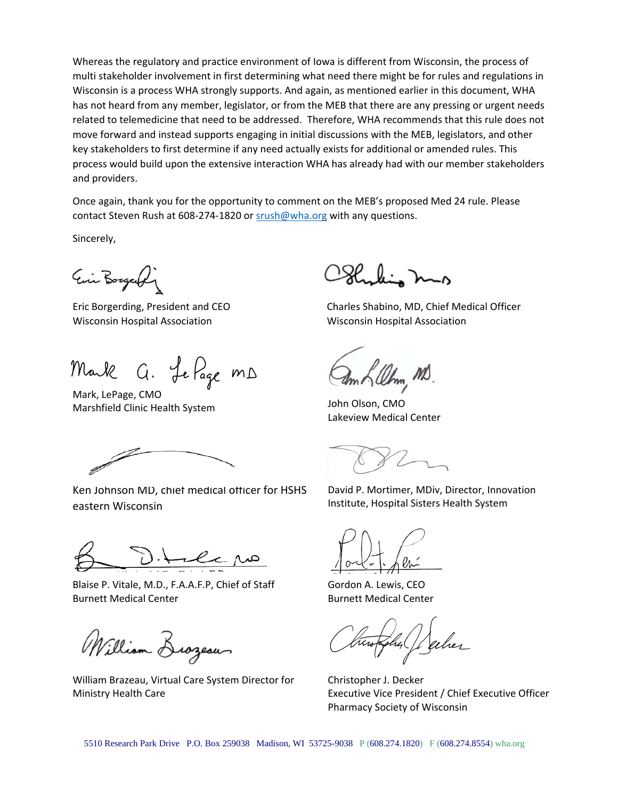Whereas the regulatory and practice environment of Iowa is different from Wisconsin, the process of multi stakeholder involvement in first determining what need there might be for rules and regulations in Wisconsin is a process WHA strongly supports. And again, as mentioned earlier in this document, WHA has not heard from any member, legislator, or from the MEB that there are any pressing or urgent needs related to telemedicine that need to be addressed. Therefore, WHA recommends that this rule does not move forward and instead supports engaging in initial discussions with the MEB, legislators, and other key stakeholders to first determine if any need actually exists for additional or amended rules. This process would build upon the extensive interaction WHA has already had with our member stakeholders and providers.

Once again, thank you for the opportunity to comment on the MEB's proposed Med 24 rule. Please contact Steven Rush at 608‐274‐1820 or srush@wha.org with any questions.

Sincerely,

Ein Borgerfin

Wisconsin Hospital Association Wisconsin Hospital Association

Mark G. Le Page MD

Mark, LePage, CMO Marshfield Clinic Health System John Olson, CMO

Ken Johnson MD, chief medical officer for HSHS eastern Wisconsin

Blaise P. Vitale, M.D., F.A.A.F.P, Chief of Staff Burnett Medical Center

William Brozeau

William Brazeau, Virtual Care System Director for Ministry Health Care

kin mo

Eric Borgerding, President and CEO Charles Shabino, MD, Chief Medical Officer

 $m$  of  $\ell\ell$ hm, MD.

Lakeview Medical Center

David P. Mortimer, MDiv, Director, Innovation Institute, Hospital Sisters Health System

Gordon A. Lewis, CEO Burnett Medical Center

Christopher J. Decker Executive Vice President / Chief Executive Officer Pharmacy Society of Wisconsin